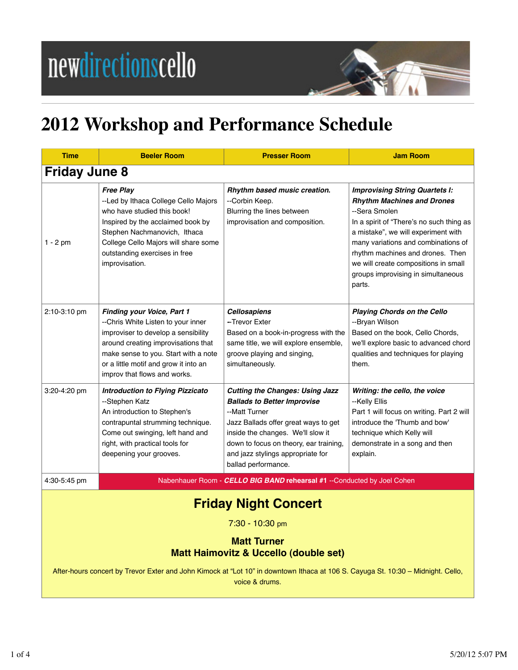## **2012 Workshop and Performance Schedule**

| <b>Time</b>                                                                                                                                                                                                                                                  | <b>Beeler Room</b>                                                                                                                                                                                                                                                     | <b>Presser Room</b>                                                                                                                                                                                                                                                              | <b>Jam Room</b>                                                                                                                                                                                                                                                                                                                                   |  |  |
|--------------------------------------------------------------------------------------------------------------------------------------------------------------------------------------------------------------------------------------------------------------|------------------------------------------------------------------------------------------------------------------------------------------------------------------------------------------------------------------------------------------------------------------------|----------------------------------------------------------------------------------------------------------------------------------------------------------------------------------------------------------------------------------------------------------------------------------|---------------------------------------------------------------------------------------------------------------------------------------------------------------------------------------------------------------------------------------------------------------------------------------------------------------------------------------------------|--|--|
| <b>Friday June 8</b>                                                                                                                                                                                                                                         |                                                                                                                                                                                                                                                                        |                                                                                                                                                                                                                                                                                  |                                                                                                                                                                                                                                                                                                                                                   |  |  |
| $1 - 2$ pm                                                                                                                                                                                                                                                   | <b>Free Play</b><br>--Led by Ithaca College Cello Majors<br>who have studied this book!<br>Inspired by the acclaimed book by<br>Stephen Nachmanovich, Ithaca<br>College Cello Majors will share some<br>outstanding exercises in free<br>improvisation.                | Rhythm based music creation.<br>--Corbin Keep.<br>Blurring the lines between<br>improvisation and composition.                                                                                                                                                                   | <b>Improvising String Quartets I:</b><br><b>Rhythm Machines and Drones</b><br>--Sera Smolen<br>In a spirit of "There's no such thing as<br>a mistake", we will experiment with<br>many variations and combinations of<br>rhythm machines and drones. Then<br>we will create compositions in small<br>groups improvising in simultaneous<br>parts. |  |  |
| 2:10-3:10 pm                                                                                                                                                                                                                                                 | <b>Finding your Voice, Part 1</b><br>--Chris White Listen to your inner<br>improviser to develop a sensibility<br>around creating improvisations that<br>make sense to you. Start with a note<br>or a little motif and grow it into an<br>improv that flows and works. | <b>Cellosapiens</b><br>-- Trevor Exter<br>Based on a book-in-progress with the<br>same title, we will explore ensemble,<br>groove playing and singing,<br>simultaneously.                                                                                                        | <b>Playing Chords on the Cello</b><br>--Bryan Wilson<br>Based on the book, Cello Chords,<br>we'll explore basic to advanced chord<br>qualities and techniques for playing<br>them.                                                                                                                                                                |  |  |
| 3:20-4:20 pm                                                                                                                                                                                                                                                 | <b>Introduction to Flying Pizzicato</b><br>--Stephen Katz<br>An introduction to Stephen's<br>contrapuntal strumming technique.<br>Come out swinging, left hand and<br>right, with practical tools for<br>deepening your grooves.                                       | <b>Cutting the Changes: Using Jazz</b><br><b>Ballads to Better Improvise</b><br>--Matt Turner<br>Jazz Ballads offer great ways to get<br>inside the changes. We'll slow it<br>down to focus on theory, ear training,<br>and jazz stylings appropriate for<br>ballad performance. | Writing: the cello, the voice<br>--Kelly Ellis<br>Part 1 will focus on writing. Part 2 will<br>introduce the 'Thumb and bow'<br>technique which Kelly will<br>demonstrate in a song and then<br>explain.                                                                                                                                          |  |  |
| 4:30-5:45 pm                                                                                                                                                                                                                                                 |                                                                                                                                                                                                                                                                        | Nabenhauer Room - CELLO BIG BAND rehearsal #1 -- Conducted by Joel Cohen                                                                                                                                                                                                         |                                                                                                                                                                                                                                                                                                                                                   |  |  |
| <b>Friday Night Concert</b><br>7:30 - 10:30 pm<br><b>Matt Turner</b><br><b>Matt Haimovitz &amp; Uccello (double set)</b><br>After-hours concert by Trevor Exter and John Kimock at "Lot 10" in downtown Ithaca at 106 S. Cayuga St. 10:30 - Midnight. Cello, |                                                                                                                                                                                                                                                                        |                                                                                                                                                                                                                                                                                  |                                                                                                                                                                                                                                                                                                                                                   |  |  |
| voice & drums.                                                                                                                                                                                                                                               |                                                                                                                                                                                                                                                                        |                                                                                                                                                                                                                                                                                  |                                                                                                                                                                                                                                                                                                                                                   |  |  |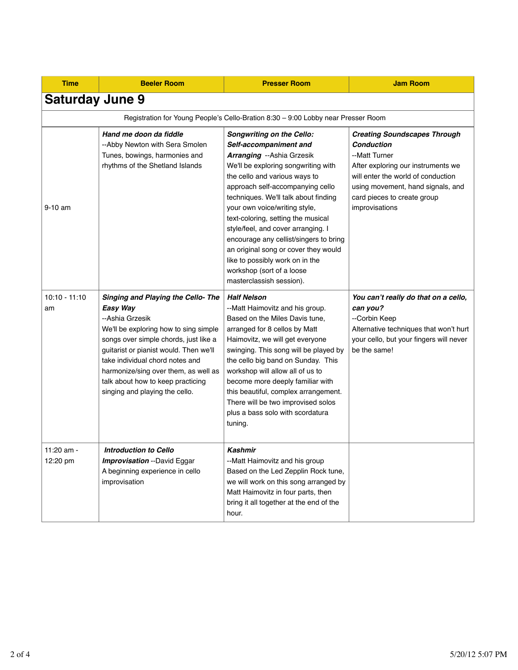| <b>Time</b>                                                                       | <b>Beeler Room</b>                                                                                                                                                                                                                                                                                                                                     | <b>Presser Room</b>                                                                                                                                                                                                                                                                                                                                                                                                                                                                                                                     | <b>Jam Room</b>                                                                                                                                                                                                                             |  |  |  |
|-----------------------------------------------------------------------------------|--------------------------------------------------------------------------------------------------------------------------------------------------------------------------------------------------------------------------------------------------------------------------------------------------------------------------------------------------------|-----------------------------------------------------------------------------------------------------------------------------------------------------------------------------------------------------------------------------------------------------------------------------------------------------------------------------------------------------------------------------------------------------------------------------------------------------------------------------------------------------------------------------------------|---------------------------------------------------------------------------------------------------------------------------------------------------------------------------------------------------------------------------------------------|--|--|--|
| <b>Saturday June 9</b>                                                            |                                                                                                                                                                                                                                                                                                                                                        |                                                                                                                                                                                                                                                                                                                                                                                                                                                                                                                                         |                                                                                                                                                                                                                                             |  |  |  |
| Registration for Young People's Cello-Bration 8:30 - 9:00 Lobby near Presser Room |                                                                                                                                                                                                                                                                                                                                                        |                                                                                                                                                                                                                                                                                                                                                                                                                                                                                                                                         |                                                                                                                                                                                                                                             |  |  |  |
| $9-10$ am                                                                         | Hand me doon da fiddle<br>-- Abby Newton with Sera Smolen<br>Tunes, bowings, harmonies and<br>rhythms of the Shetland Islands                                                                                                                                                                                                                          | <b>Songwriting on the Cello:</b><br>Self-accompaniment and<br>Arranging -- Ashia Grzesik<br>We'll be exploring songwriting with<br>the cello and various ways to<br>approach self-accompanying cello<br>techniques. We'll talk about finding<br>your own voice/writing style,<br>text-coloring, setting the musical<br>style/feel, and cover arranging. I<br>encourage any cellist/singers to bring<br>an original song or cover they would<br>like to possibly work on in the<br>workshop (sort of a loose<br>masterclassish session). | <b>Creating Soundscapes Through</b><br><b>Conduction</b><br>--Matt Turner<br>After exploring our instruments we<br>will enter the world of conduction<br>using movement, hand signals, and<br>card pieces to create group<br>improvisations |  |  |  |
| $10:10 - 11:10$<br>am                                                             | <b>Singing and Playing the Cello- The</b><br>Easy Way<br>--Ashia Grzesik<br>We'll be exploring how to sing simple<br>songs over simple chords, just like a<br>guitarist or pianist would. Then we'll<br>take individual chord notes and<br>harmonize/sing over them, as well as<br>talk about how to keep practicing<br>singing and playing the cello. | <b>Half Nelson</b><br>--Matt Haimovitz and his group.<br>Based on the Miles Davis tune,<br>arranged for 8 cellos by Matt<br>Haimovitz, we will get everyone<br>swinging. This song will be played by<br>the cello big band on Sunday. This<br>workshop will allow all of us to<br>become more deeply familiar with<br>this beautiful, complex arrangement.<br>There will be two improvised solos<br>plus a bass solo with scordatura<br>tuning.                                                                                         | You can't really do that on a cello,<br>can you?<br>--Corbin Keep<br>Alternative techniques that won't hurt<br>your cello, but your fingers will never<br>be the same!                                                                      |  |  |  |
| 11:20 am -<br>12:20 pm                                                            | <b>Introduction to Cello</b><br><b>Improvisation</b> --David Eggar<br>A beginning experience in cello<br>improvisation                                                                                                                                                                                                                                 | Kashmir<br>--Matt Haimovitz and his group<br>Based on the Led Zepplin Rock tune,<br>we will work on this song arranged by<br>Matt Haimovitz in four parts, then<br>bring it all together at the end of the<br>hour.                                                                                                                                                                                                                                                                                                                     |                                                                                                                                                                                                                                             |  |  |  |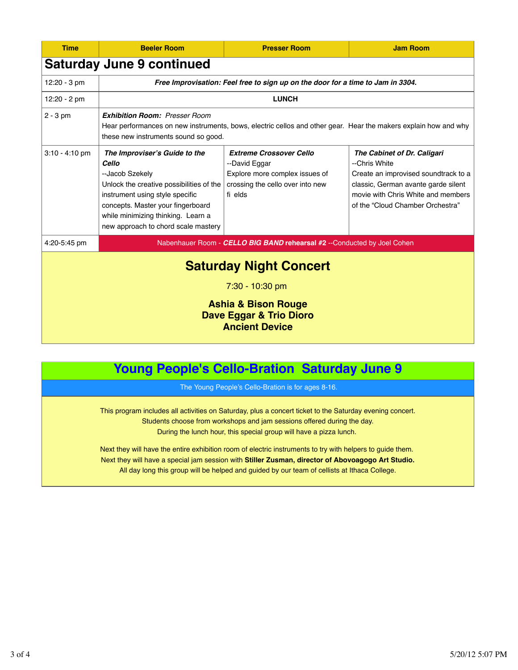| <b>Time</b>                                                                                                                              | <b>Beeler Room</b>                                                                                                                                                                                                                                         | <b>Presser Room</b>                                                                                                              | <b>Jam Room</b>                                                                                                                                                                                       |  |  |  |  |
|------------------------------------------------------------------------------------------------------------------------------------------|------------------------------------------------------------------------------------------------------------------------------------------------------------------------------------------------------------------------------------------------------------|----------------------------------------------------------------------------------------------------------------------------------|-------------------------------------------------------------------------------------------------------------------------------------------------------------------------------------------------------|--|--|--|--|
| <b>Saturday June 9 continued</b>                                                                                                         |                                                                                                                                                                                                                                                            |                                                                                                                                  |                                                                                                                                                                                                       |  |  |  |  |
| $12:20 - 3$ pm                                                                                                                           | Free Improvisation: Feel free to sign up on the door for a time to Jam in 3304.                                                                                                                                                                            |                                                                                                                                  |                                                                                                                                                                                                       |  |  |  |  |
| $12:20 - 2$ pm                                                                                                                           | <b>LUNCH</b>                                                                                                                                                                                                                                               |                                                                                                                                  |                                                                                                                                                                                                       |  |  |  |  |
| $2 - 3$ pm                                                                                                                               | <b>Exhibition Room: Presser Room</b><br>Hear performances on new instruments, bows, electric cellos and other gear. Hear the makers explain how and why<br>these new instruments sound so good.                                                            |                                                                                                                                  |                                                                                                                                                                                                       |  |  |  |  |
| $3:10 - 4:10$ pm                                                                                                                         | The Improviser's Guide to the<br>Cello<br>--Jacob Szekely<br>Unlock the creative possibilities of the<br>instrument using style specific<br>concepts. Master your fingerboard<br>while minimizing thinking. Learn a<br>new approach to chord scale mastery | <b>Extreme Crossover Cello</b><br>--David Eggar<br>Explore more complex issues of<br>crossing the cello over into new<br>fi elds | The Cabinet of Dr. Caligari<br>--Chris White<br>Create an improvised soundtrack to a<br>classic, German avante garde silent<br>movie with Chris White and members<br>of the "Cloud Chamber Orchestra" |  |  |  |  |
| 4:20-5:45 pm                                                                                                                             | Nabenhauer Room - CELLO BIG BAND rehearsal #2 --Conducted by Joel Cohen                                                                                                                                                                                    |                                                                                                                                  |                                                                                                                                                                                                       |  |  |  |  |
| <b>Saturday Night Concert</b><br>$7:30 - 10:30$ pm<br><b>Ashia &amp; Bison Rouge</b><br>Dave Eggar & Trio Dioro<br><b>Ancient Device</b> |                                                                                                                                                                                                                                                            |                                                                                                                                  |                                                                                                                                                                                                       |  |  |  |  |
|                                                                                                                                          |                                                                                                                                                                                                                                                            |                                                                                                                                  |                                                                                                                                                                                                       |  |  |  |  |

## **Young People's Cello-Bration Saturday June 9**

The Young People's Cello-Bration is for ages 8-16.

This program includes all activities on Saturday, plus a concert ticket to the Saturday evening concert. Students choose from workshops and jam sessions offered during the day. During the lunch hour, this special group will have a pizza lunch.

Next they will have the entire exhibition room of electric instruments to try with helpers to guide them. Next they will have a special jam session with **Stiller Zusman, director of Abovoagogo Art Studio.** All day long this group will be helped and guided by our team of cellists at Ithaca College.